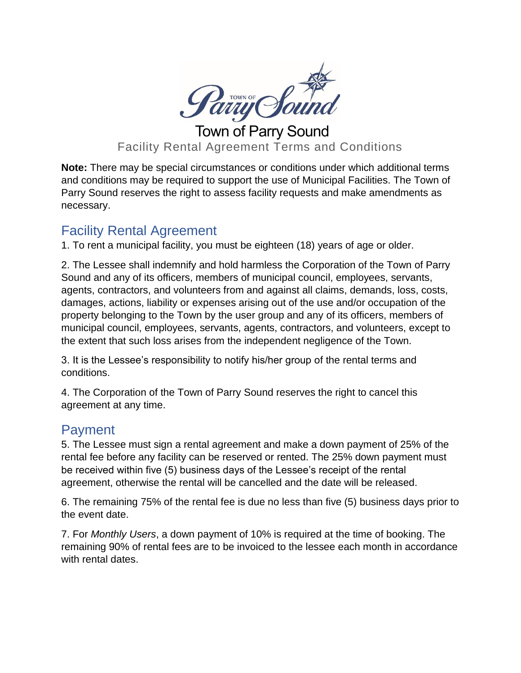

Town of Parry Sound Facility Rental Agreement Terms and Conditions

**Note:** There may be special circumstances or conditions under which additional terms and conditions may be required to support the use of Municipal Facilities. The Town of Parry Sound reserves the right to assess facility requests and make amendments as necessary.

## Facility Rental Agreement

1. To rent a municipal facility, you must be eighteen (18) years of age or older.

2. The Lessee shall indemnify and hold harmless the Corporation of the Town of Parry Sound and any of its officers, members of municipal council, employees, servants, agents, contractors, and volunteers from and against all claims, demands, loss, costs, damages, actions, liability or expenses arising out of the use and/or occupation of the property belonging to the Town by the user group and any of its officers, members of municipal council, employees, servants, agents, contractors, and volunteers, except to the extent that such loss arises from the independent negligence of the Town.

3. It is the Lessee's responsibility to notify his/her group of the rental terms and conditions.

4. The Corporation of the Town of Parry Sound reserves the right to cancel this agreement at any time.

## **Payment**

5. The Lessee must sign a rental agreement and make a down payment of 25% of the rental fee before any facility can be reserved or rented. The 25% down payment must be received within five (5) business days of the Lessee's receipt of the rental agreement, otherwise the rental will be cancelled and the date will be released.

6. The remaining 75% of the rental fee is due no less than five (5) business days prior to the event date.

7. For *Monthly Users*, a down payment of 10% is required at the time of booking. The remaining 90% of rental fees are to be invoiced to the lessee each month in accordance with rental dates.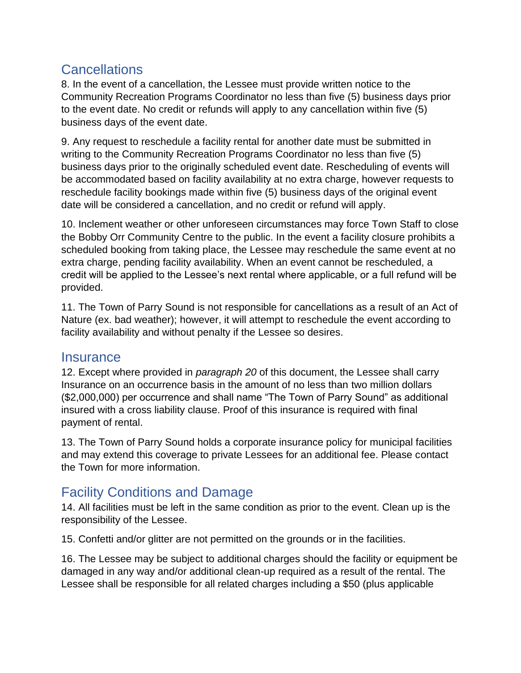## **Cancellations**

8. In the event of a cancellation, the Lessee must provide written notice to the Community Recreation Programs Coordinator no less than five (5) business days prior to the event date. No credit or refunds will apply to any cancellation within five (5) business days of the event date.

9. Any request to reschedule a facility rental for another date must be submitted in writing to the Community Recreation Programs Coordinator no less than five (5) business days prior to the originally scheduled event date. Rescheduling of events will be accommodated based on facility availability at no extra charge, however requests to reschedule facility bookings made within five (5) business days of the original event date will be considered a cancellation, and no credit or refund will apply.

10. Inclement weather or other unforeseen circumstances may force Town Staff to close the Bobby Orr Community Centre to the public. In the event a facility closure prohibits a scheduled booking from taking place, the Lessee may reschedule the same event at no extra charge, pending facility availability. When an event cannot be rescheduled, a credit will be applied to the Lessee's next rental where applicable, or a full refund will be provided.

11. The Town of Parry Sound is not responsible for cancellations as a result of an Act of Nature (ex. bad weather); however, it will attempt to reschedule the event according to facility availability and without penalty if the Lessee so desires.

#### **Insurance**

12. Except where provided in *paragraph 20* of this document, the Lessee shall carry Insurance on an occurrence basis in the amount of no less than two million dollars (\$2,000,000) per occurrence and shall name "The Town of Parry Sound" as additional insured with a cross liability clause. Proof of this insurance is required with final payment of rental.

13. The Town of Parry Sound holds a corporate insurance policy for municipal facilities and may extend this coverage to private Lessees for an additional fee. Please contact the Town for more information.

## Facility Conditions and Damage

14. All facilities must be left in the same condition as prior to the event. Clean up is the responsibility of the Lessee.

15. Confetti and/or glitter are not permitted on the grounds or in the facilities.

16. The Lessee may be subject to additional charges should the facility or equipment be damaged in any way and/or additional clean-up required as a result of the rental. The Lessee shall be responsible for all related charges including a \$50 (plus applicable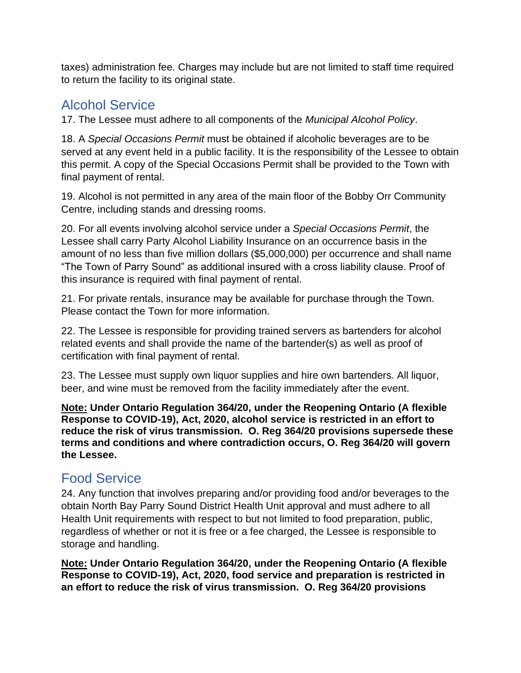taxes) administration fee. Charges may include but are not limited to staff time required to return the facility to its original state.

# Alcohol Service

17. The Lessee must adhere to all components of the *Municipal Alcohol Policy*.

18. A *Special Occasions Permit* must be obtained if alcoholic beverages are to be served at any event held in a public facility. It is the responsibility of the Lessee to obtain this permit. A copy of the Special Occasions Permit shall be provided to the Town with final payment of rental.

19. Alcohol is not permitted in any area of the main floor of the Bobby Orr Community Centre, including stands and dressing rooms.

20. For all events involving alcohol service under a *Special Occasions Permit*, the Lessee shall carry Party Alcohol Liability Insurance on an occurrence basis in the amount of no less than five million dollars (\$5,000,000) per occurrence and shall name "The Town of Parry Sound" as additional insured with a cross liability clause. Proof of this insurance is required with final payment of rental.

21. For private rentals, insurance may be available for purchase through the Town. Please contact the Town for more information.

22. The Lessee is responsible for providing trained servers as bartenders for alcohol related events and shall provide the name of the bartender(s) as well as proof of certification with final payment of rental.

23. The Lessee must supply own liquor supplies and hire own bartenders. All liquor, beer, and wine must be removed from the facility immediately after the event.

**Note: Under Ontario Regulation 364/20, under the Reopening Ontario (A flexible Response to COVID-19), Act, 2020, alcohol service is restricted in an effort to reduce the risk of virus transmission. O. Reg 364/20 provisions supersede these terms and conditions and where contradiction occurs, O. Reg 364/20 will govern the Lessee.**

## Food Service

24. Any function that involves preparing and/or providing food and/or beverages to the obtain North Bay Parry Sound District Health Unit approval and must adhere to all Health Unit requirements with respect to but not limited to food preparation, public, regardless of whether or not it is free or a fee charged, the Lessee is responsible to storage and handling.

**Note: Under Ontario Regulation 364/20, under the Reopening Ontario (A flexible Response to COVID-19), Act, 2020, food service and preparation is restricted in an effort to reduce the risk of virus transmission. O. Reg 364/20 provisions**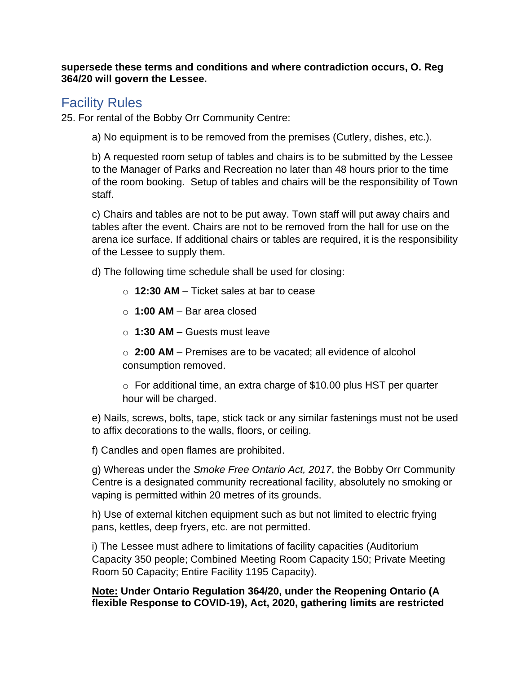**supersede these terms and conditions and where contradiction occurs, O. Reg 364/20 will govern the Lessee.**

## Facility Rules

25. For rental of the Bobby Orr Community Centre:

a) No equipment is to be removed from the premises (Cutlery, dishes, etc.).

b) A requested room setup of tables and chairs is to be submitted by the Lessee to the Manager of Parks and Recreation no later than 48 hours prior to the time of the room booking. Setup of tables and chairs will be the responsibility of Town staff.

c) Chairs and tables are not to be put away. Town staff will put away chairs and tables after the event. Chairs are not to be removed from the hall for use on the arena ice surface. If additional chairs or tables are required, it is the responsibility of the Lessee to supply them.

d) The following time schedule shall be used for closing:

- o **12:30 AM**  Ticket sales at bar to cease
- o **1:00 AM**  Bar area closed
- o **1:30 AM**  Guests must leave

o **2:00 AM** – Premises are to be vacated; all evidence of alcohol consumption removed.

o For additional time, an extra charge of \$10.00 plus HST per quarter hour will be charged.

e) Nails, screws, bolts, tape, stick tack or any similar fastenings must not be used to affix decorations to the walls, floors, or ceiling.

f) Candles and open flames are prohibited.

g) Whereas under the *Smoke Free Ontario Act, 2017*, the Bobby Orr Community Centre is a designated community recreational facility, absolutely no smoking or vaping is permitted within 20 metres of its grounds.

h) Use of external kitchen equipment such as but not limited to electric frying pans, kettles, deep fryers, etc. are not permitted.

i) The Lessee must adhere to limitations of facility capacities (Auditorium Capacity 350 people; Combined Meeting Room Capacity 150; Private Meeting Room 50 Capacity; Entire Facility 1195 Capacity).

**Note: Under Ontario Regulation 364/20, under the Reopening Ontario (A flexible Response to COVID-19), Act, 2020, gathering limits are restricted**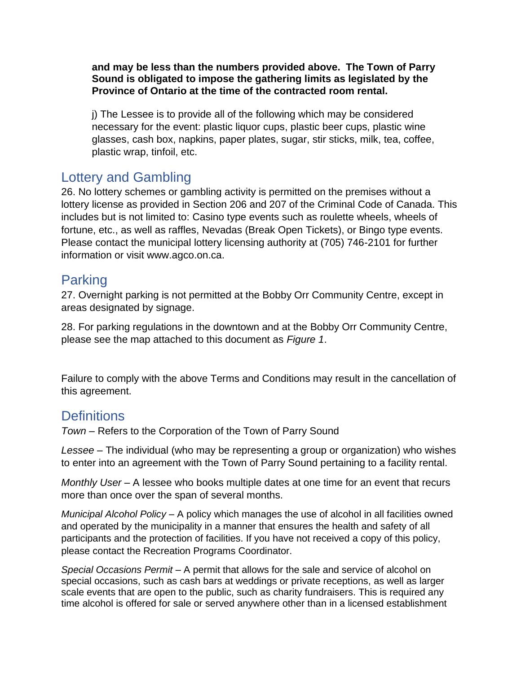**and may be less than the numbers provided above. The Town of Parry Sound is obligated to impose the gathering limits as legislated by the Province of Ontario at the time of the contracted room rental.**

j) The Lessee is to provide all of the following which may be considered necessary for the event: plastic liquor cups, plastic beer cups, plastic wine glasses, cash box, napkins, paper plates, sugar, stir sticks, milk, tea, coffee, plastic wrap, tinfoil, etc.

## Lottery and Gambling

26. No lottery schemes or gambling activity is permitted on the premises without a lottery license as provided in Section 206 and 207 of the Criminal Code of Canada. This includes but is not limited to: Casino type events such as roulette wheels, wheels of fortune, etc., as well as raffles, Nevadas (Break Open Tickets), or Bingo type events. Please contact the municipal lottery licensing authority at (705) 746-2101 for further information or visit www.agco.on.ca.

## Parking

27. Overnight parking is not permitted at the Bobby Orr Community Centre, except in areas designated by signage.

28. For parking regulations in the downtown and at the Bobby Orr Community Centre, please see the map attached to this document as *Figure 1*.

Failure to comply with the above Terms and Conditions may result in the cancellation of this agreement.

## **Definitions**

*Town* – Refers to the Corporation of the Town of Parry Sound

*Lessee –* The individual (who may be representing a group or organization) who wishes to enter into an agreement with the Town of Parry Sound pertaining to a facility rental.

*Monthly User* – A lessee who books multiple dates at one time for an event that recurs more than once over the span of several months.

*Municipal Alcohol Policy* – A policy which manages the use of alcohol in all facilities owned and operated by the municipality in a manner that ensures the health and safety of all participants and the protection of facilities. If you have not received a copy of this policy, please contact the Recreation Programs Coordinator.

*Special Occasions Permit* – A permit that allows for the sale and service of alcohol on special occasions, such as cash bars at weddings or private receptions, as well as larger scale events that are open to the public, such as charity fundraisers. This is required any time alcohol is offered for sale or served anywhere other than in a licensed establishment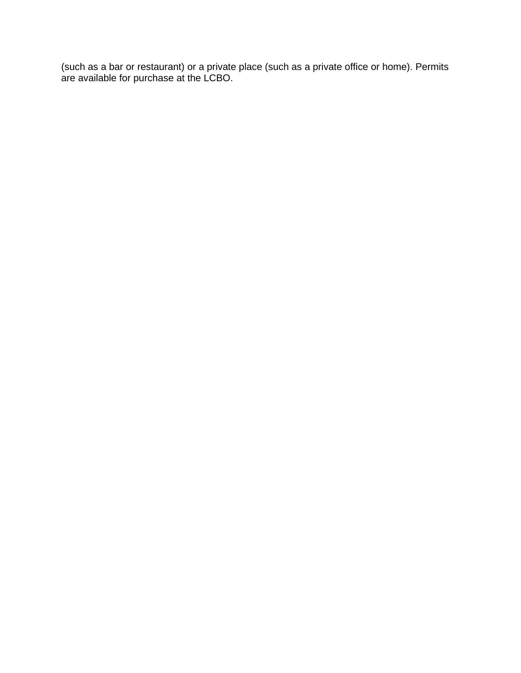(such as a bar or restaurant) or a private place (such as a private office or home). Permits are available for purchase at the LCBO.